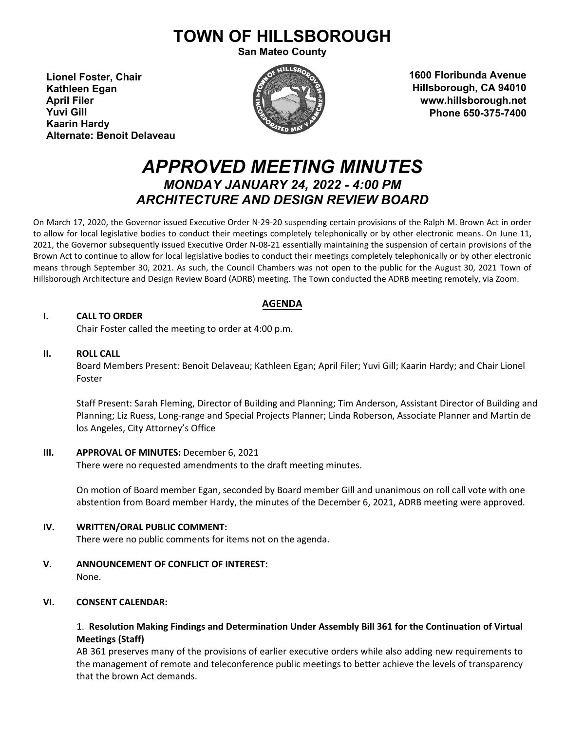# **TOWN OF HILLSBOROUGH**

**San Mateo County**

**Lionel Foster, Chair Kathleen Egan April Filer Yuvi Gill Kaarin Hardy Alternate: Benoit Delaveau**



**1600 Floribunda Avenue Hillsborough, CA 94010 www.hillsborough.net Phone 650-375-7400**

## *APPROVED MEETING MINUTES MONDAY JANUARY 24, 2022 - 4:00 PM ARCHITECTURE AND DESIGN REVIEW BOARD*

On March 17, 2020, the Governor issued Executive Order N-29-20 suspending certain provisions of the Ralph M. Brown Act in order to allow for local legislative bodies to conduct their meetings completely telephonically or by other electronic means. On June 11, 2021, the Governor subsequently issued Executive Order N-08-21 essentially maintaining the suspension of certain provisions of the Brown Act to continue to allow for local legislative bodies to conduct their meetings completely telephonically or by other electronic means through September 30, 2021. As such, the Council Chambers was not open to the public for the August 30, 2021 Town of Hillsborough Architecture and Design Review Board (ADRB) meeting. The Town conducted the ADRB meeting remotely, via Zoom.

#### **AGENDA**

#### **I. CALL TO ORDER**

Chair Foster called the meeting to order at 4:00 p.m.

#### **II. ROLL CALL**

Board Members Present: Benoit Delaveau; Kathleen Egan; April Filer; Yuvi Gill; Kaarin Hardy; and Chair Lionel Foster

Staff Present: Sarah Fleming, Director of Building and Planning; Tim Anderson, Assistant Director of Building and Planning; Liz Ruess, Long-range and Special Projects Planner; Linda Roberson, Associate Planner and Martin de los Angeles, City Attorney's Office

#### **III. APPROVAL OF MINUTES:** December 6, 2021

There were no requested amendments to the draft meeting minutes.

On motion of Board member Egan, seconded by Board member Gill and unanimous on roll call vote with one abstention from Board member Hardy, the minutes of the December 6, 2021, ADRB meeting were approved.

#### **IV. WRITTEN/ORAL PUBLIC COMMENT:**

There were no public comments for items not on the agenda.

**V. ANNOUNCEMENT OF CONFLICT OF INTEREST:**

None.

#### **VI. CONSENT CALENDAR:**

#### 1. **Resolution Making Findings and Determination Under Assembly Bill 361 for the Continuation of Virtual Meetings (Staff)**

AB 361 preserves many of the provisions of earlier executive orders while also adding new requirements to the management of remote and teleconference public meetings to better achieve the levels of transparency that the brown Act demands.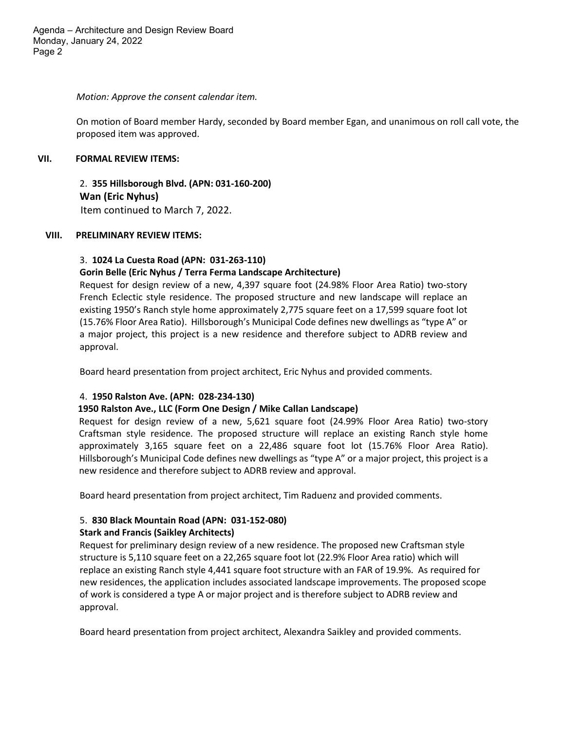Agenda – Architecture and Design Review Board Monday, January 24, 2022 Page 2

*Motion: Approve the consent calendar item.* 

On motion of Board member Hardy, seconded by Board member Egan, and unanimous on roll call vote, the proposed item was approved.

#### **VII. FORMAL REVIEW ITEMS:**

2. **355 Hillsborough Blvd. (APN: 031-160-200) Wan (Eric Nyhus)** Item continued to March 7, 2022.

#### **VIII. PRELIMINARY REVIEW ITEMS:**

#### 3. **1024 La Cuesta Road (APN: 031-263-110)**

#### **Gorin Belle (Eric Nyhus / Terra Ferma Landscape Architecture)**

Request for design review of a new, 4,397 square foot (24.98% Floor Area Ratio) two-story French Eclectic style residence. The proposed structure and new landscape will replace an existing 1950's Ranch style home approximately 2,775 square feet on a 17,599 square foot lot (15.76% Floor Area Ratio). Hillsborough's Municipal Code defines new dwellings as "type A" or a major project, this project is a new residence and therefore subject to ADRB review and approval.

Board heard presentation from project architect, Eric Nyhus and provided comments.

#### 4. **1950 Ralston Ave. (APN: 028-234-130)**

#### **1950 Ralston Ave., LLC (Form One Design / Mike Callan Landscape)**

Request for design review of a new, 5,621 square foot (24.99% Floor Area Ratio) two-story Craftsman style residence. The proposed structure will replace an existing Ranch style home approximately 3,165 square feet on a 22,486 square foot lot (15.76% Floor Area Ratio). Hillsborough's Municipal Code defines new dwellings as "type A" or a major project, this project is a new residence and therefore subject to ADRB review and approval.

Board heard presentation from project architect, Tim Raduenz and provided comments.

#### 5. **830 Black Mountain Road (APN: 031-152-080)**

#### **Stark and Francis (Saikley Architects)**

Request for preliminary design review of a new residence. The proposed new Craftsman style structure is 5,110 square feet on a 22,265 square foot lot (22.9% Floor Area ratio) which will replace an existing Ranch style 4,441 square foot structure with an FAR of 19.9%. As required for new residences, the application includes associated landscape improvements. The proposed scope of work is considered a type A or major project and is therefore subject to ADRB review and approval.

Board heard presentation from project architect, Alexandra Saikley and provided comments.